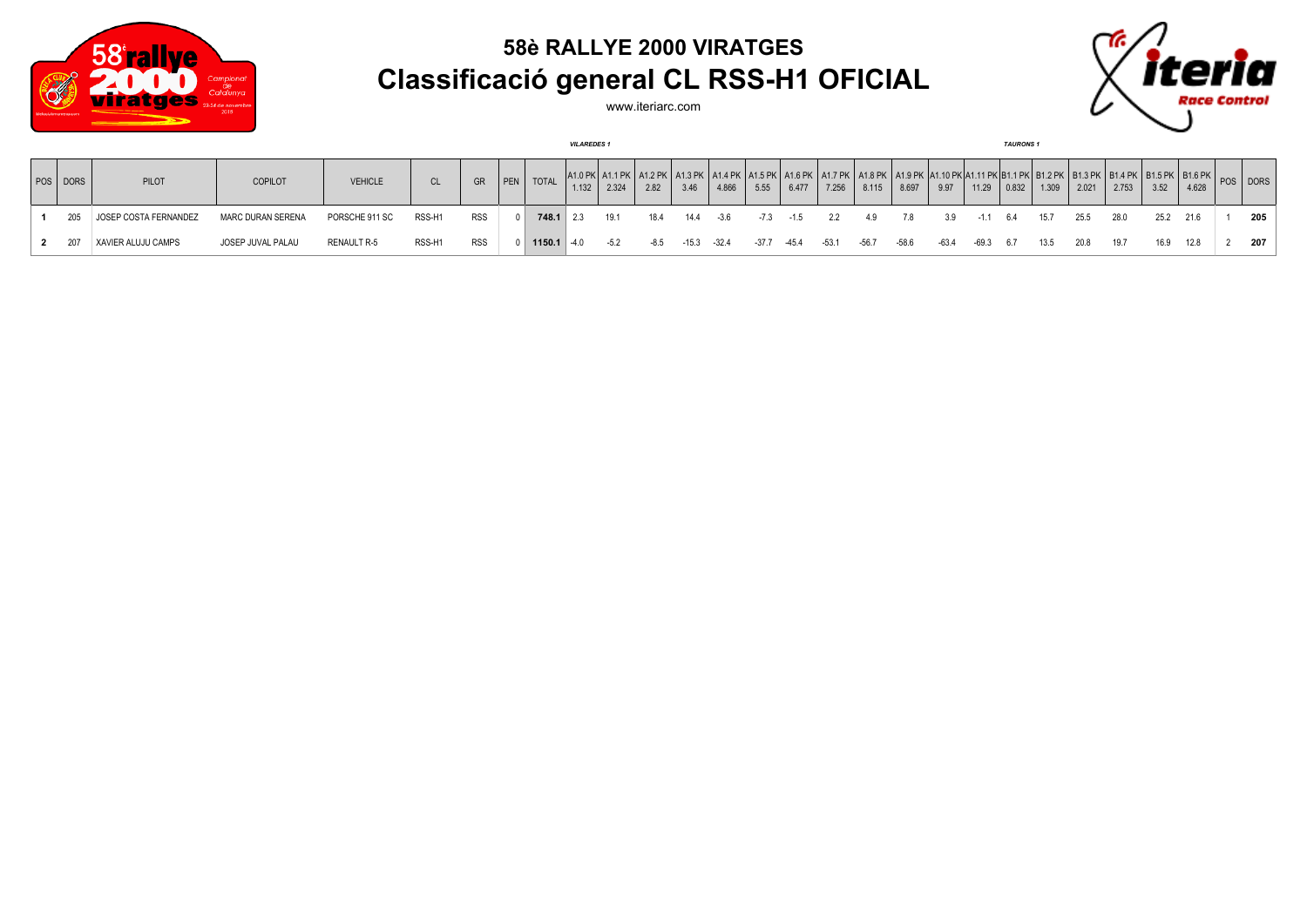

## **58è RALLYE 2000 VIRATGES Classificació general CL RSS-H1 OFICIAL**



www.iteriarc.com

| <b>VILAREDES1</b> |                       |                          |                |        |            |             |                 |             |        |                                                                                                 |         |         |       |        | <b>TAURONS 1</b> |         |                                                          |       |            |               |       |       |                                                                                                                                                                             |      |           |  |     |
|-------------------|-----------------------|--------------------------|----------------|--------|------------|-------------|-----------------|-------------|--------|-------------------------------------------------------------------------------------------------|---------|---------|-------|--------|------------------|---------|----------------------------------------------------------|-------|------------|---------------|-------|-------|-----------------------------------------------------------------------------------------------------------------------------------------------------------------------------|------|-----------|--|-----|
| POS   DORS        | <b>PILOT</b>          | COPILOT                  | <b>VEHICLE</b> | CL     | GR         | $ $ PEN $ $ | <b>TOTAL</b>    | 1.132       | 2.324  | A1.0 PK   A1.1 PK   A1.2 PK   A1.3 PK   A1.4 PK   A1.5 PK   A1.6 PK   A1.7 PK   A1.8 PK<br>2.82 | 3.46    | 4.866   | 5.55  | 6.477  | 7.256            | 8.115   | K∣A1.9 PK  A1.10 PK A1.11 PK B1.1 PK  B1.2 PK  <br>8.697 | 9.97  |            | $11.29$ 0.832 | 1.309 | 2.021 | $\left( \begin{array}{c c c c} B1.3 \ P K & B1.4 \ P K & 3.76 \end{array} \right $ B1.6 PK $\left  \begin{array}{c c c} B1.6 \ P K & POS \end{array} \right $ DORS<br>2.753 | 3.52 | 4.628     |  |     |
| 205               | JOSEP COSTA FERNANDEZ | <b>MARC DURAN SERENA</b> | PORSCHE 911 SC | RSS-H1 | <b>RSS</b> |             |                 | $748.1$ 2.3 | 19.1   | 18.4                                                                                            | 14.4    | $-3.6$  | -7.3  | $-1.5$ | 2.2              | 4.9     | 7.8                                                      | 3.9   | $-1.1$ 6.4 |               | 15.7  | 25.5  | 28.0                                                                                                                                                                        |      | 25.2 21.6 |  | 205 |
|                   | XAVIER ALUJU CAMPS    | JOSEP JUVAL PALAU        | RENAULT R-5    | RSS-H1 | RSS        |             | $1150.1$ $-4.0$ |             | $-5.2$ | -8.5                                                                                            | $-15.3$ | $-32.4$ | -37.7 | -45.4  | $-53.1$          | $-56.7$ | $-58.6$                                                  | -63.4 | -69.3 6.7  |               | 13.5  | 20.8  | 19.7                                                                                                                                                                        | 16.9 | 12.8      |  | 207 |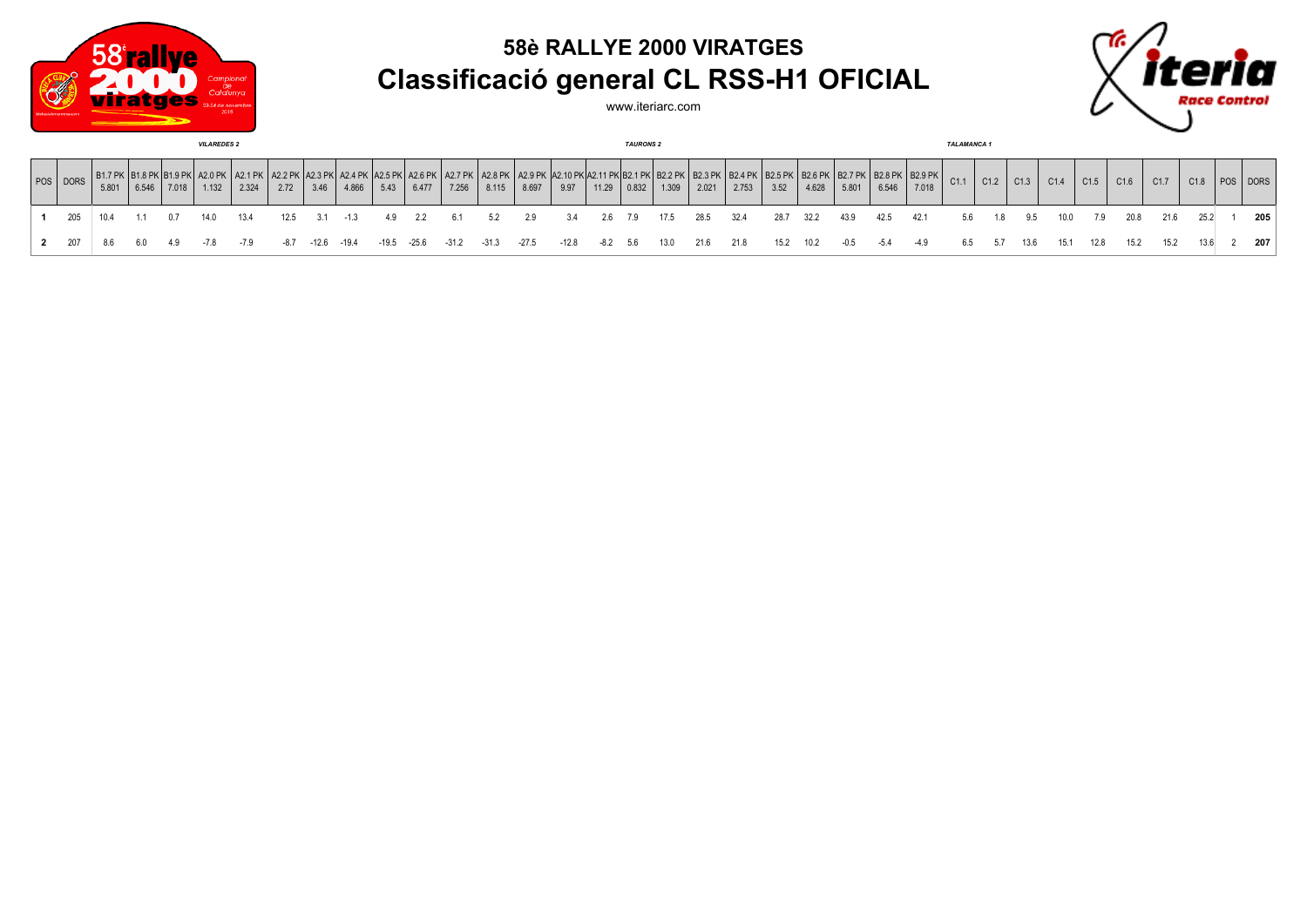

## **58è RALLYE 2000 VIRATGES Classificació general CL RSS-H1 OFICIAL**





| <b>VILAREDES 2</b> |       |       |       |       |       |      |       |       |         |       |                               |                                                                                |         | <b>TAURONS 2</b> |       |                     |       |       |       |      |           |        |        |       | <b>TALAMANCA1</b> |      |      |      |      |      |      |      |          |     |
|--------------------|-------|-------|-------|-------|-------|------|-------|-------|---------|-------|-------------------------------|--------------------------------------------------------------------------------|---------|------------------|-------|---------------------|-------|-------|-------|------|-----------|--------|--------|-------|-------------------|------|------|------|------|------|------|------|----------|-----|
| POS DORS           | 5.801 | 6.546 | 7.018 | 1.132 | 2.324 | 2.72 | 3.46  | 4.866 | 5.43    | 6.477 | (  A2.6 PK   A2.7 PK<br>7.256 | \  A2.8 PK   A2.9 PK  A2.10 PK A2.11 PK B2.1 PK  B2.2 PK <sup> </sup><br>8.115 | 8.697   | 9.97             | 11.29 | $\vert 0.832 \vert$ | 1.309 | 2.021 | 2.753 | 3.52 | 4.628     | 5.801  | 6.546  | 7.018 | C1.1              | C1.2 | C1.3 | C1.4 | C1.5 | C1.6 | C1.7 | C1.8 | POS DORS |     |
|                    |       |       | . በ 7 | 14.0  | 13.4  | 12.5 |       |       |         | 2.2   |                               | 5.2                                                                            | 2.9     | 3.4              | 2.6   | 7.9                 | 17.5  | 28.5  | 32.4  |      | 28.7 32.2 | 43.9   | 42.5   | 42.1  | 5.6               | 1.8  | 9.5  | 10.0 | 7.9  | 20.8 | 21.6 | 25.2 |          | 205 |
| 2 207              | 8.6   | 6.0   | - 4.9 | -7.8  |       | -87  | -12.6 | -19.4 | $-19.5$ | -25.6 | $-31.2$                       | $-31.3$                                                                        | $-27.5$ | -12.8            | -8.2  | - 5.6               | 13.0  | 21.6  | 21.8  |      | 15.2 10.2 | $-0.5$ | $-5.4$ |       | 6.5               | 5.7  | 13.6 | 15.1 | 12.8 | 15.2 | 15.2 | 13.6 |          | 207 |